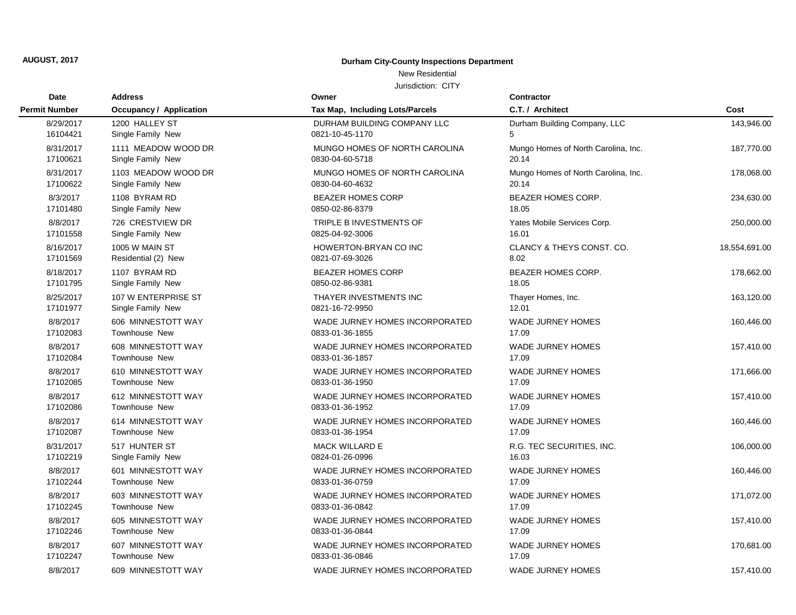### New Residential

| <b>Date</b>          | <b>Address</b>                 | Owner                           | <b>Contractor</b>                   |               |
|----------------------|--------------------------------|---------------------------------|-------------------------------------|---------------|
| <b>Permit Number</b> | <b>Occupancy / Application</b> | Tax Map, Including Lots/Parcels | C.T. / Architect                    | Cost          |
| 8/29/2017            | 1200 HALLEY ST                 | DURHAM BUILDING COMPANY LLC     | Durham Building Company, LLC        | 143,946.00    |
| 16104421             | Single Family New              | 0821-10-45-1170                 | 5                                   |               |
| 8/31/2017            | 1111 MEADOW WOOD DR            | MUNGO HOMES OF NORTH CAROLINA   | Mungo Homes of North Carolina, Inc. | 187,770.00    |
| 17100621             | Single Family New              | 0830-04-60-5718                 | 20.14                               |               |
| 8/31/2017            | 1103 MEADOW WOOD DR            | MUNGO HOMES OF NORTH CAROLINA   | Mungo Homes of North Carolina, Inc. | 178,068.00    |
| 17100622             | Single Family New              | 0830-04-60-4632                 | 20.14                               |               |
| 8/3/2017             | 1108 BYRAM RD                  | <b>BEAZER HOMES CORP</b>        | BEAZER HOMES CORP.                  | 234,630.00    |
| 17101480             | Single Family New              | 0850-02-86-8379                 | 18.05                               |               |
| 8/8/2017             | 726 CRESTVIEW DR               | TRIPLE B INVESTMENTS OF         | Yates Mobile Services Corp.         | 250,000.00    |
| 17101558             | Single Family New              | 0825-04-92-3006                 | 16.01                               |               |
| 8/16/2017            | 1005 W MAIN ST                 | HOWERTON-BRYAN CO INC           | CLANCY & THEYS CONST. CO.           | 18,554,691.00 |
| 17101569             | Residential (2) New            | 0821-07-69-3026                 | 8.02                                |               |
| 8/18/2017            | 1107 BYRAM RD                  | <b>BEAZER HOMES CORP</b>        | BEAZER HOMES CORP.                  | 178,662.00    |
| 17101795             | Single Family New              | 0850-02-86-9381                 | 18.05                               |               |
| 8/25/2017            | 107 W ENTERPRISE ST            | THAYER INVESTMENTS INC          | Thayer Homes, Inc.                  | 163,120.00    |
| 17101977             | Single Family New              | 0821-16-72-9950                 | 12.01                               |               |
| 8/8/2017             | 606 MINNESTOTT WAY             | WADE JURNEY HOMES INCORPORATED  | <b>WADE JURNEY HOMES</b>            | 160,446.00    |
| 17102083             | Townhouse New                  | 0833-01-36-1855                 | 17.09                               |               |
| 8/8/2017             | 608 MINNESTOTT WAY             | WADE JURNEY HOMES INCORPORATED  | <b>WADE JURNEY HOMES</b>            | 157,410.00    |
| 17102084             | Townhouse New                  | 0833-01-36-1857                 | 17.09                               |               |
| 8/8/2017             | 610 MINNESTOTT WAY             | WADE JURNEY HOMES INCORPORATED  | <b>WADE JURNEY HOMES</b>            | 171,666.00    |
| 17102085             | Townhouse New                  | 0833-01-36-1950                 | 17.09                               |               |
| 8/8/2017             | 612 MINNESTOTT WAY             | WADE JURNEY HOMES INCORPORATED  | <b>WADE JURNEY HOMES</b>            | 157,410.00    |
| 17102086             | Townhouse New                  | 0833-01-36-1952                 | 17.09                               |               |
| 8/8/2017             | 614 MINNESTOTT WAY             | WADE JURNEY HOMES INCORPORATED  | <b>WADE JURNEY HOMES</b>            | 160,446.00    |
| 17102087             | Townhouse New                  | 0833-01-36-1954                 | 17.09                               |               |
| 8/31/2017            | 517 HUNTER ST                  | <b>MACK WILLARD E</b>           | R.G. TEC SECURITIES, INC.           | 106,000.00    |
| 17102219             | Single Family New              | 0824-01-26-0996                 | 16.03                               |               |
| 8/8/2017             | 601 MINNESTOTT WAY             | WADE JURNEY HOMES INCORPORATED  | <b>WADE JURNEY HOMES</b>            | 160,446.00    |
| 17102244             | <b>Townhouse New</b>           | 0833-01-36-0759                 | 17.09                               |               |
| 8/8/2017             | 603 MINNESTOTT WAY             | WADE JURNEY HOMES INCORPORATED  | <b>WADE JURNEY HOMES</b>            | 171,072.00    |
| 17102245             | Townhouse New                  | 0833-01-36-0842                 | 17.09                               |               |
| 8/8/2017             | 605 MINNESTOTT WAY             | WADE JURNEY HOMES INCORPORATED  | WADE JURNEY HOMES                   | 157,410.00    |
| 17102246             | Townhouse New                  | 0833-01-36-0844                 | 17.09                               |               |
| 8/8/2017             | 607 MINNESTOTT WAY             | WADE JURNEY HOMES INCORPORATED  | <b>WADE JURNEY HOMES</b>            | 170,681.00    |
| 17102247             | Townhouse New                  | 0833-01-36-0846                 | 17.09                               |               |
| 8/8/2017             | 609 MINNESTOTT WAY             | WADE JURNEY HOMES INCORPORATED  | WADE JURNEY HOMES                   | 157,410.00    |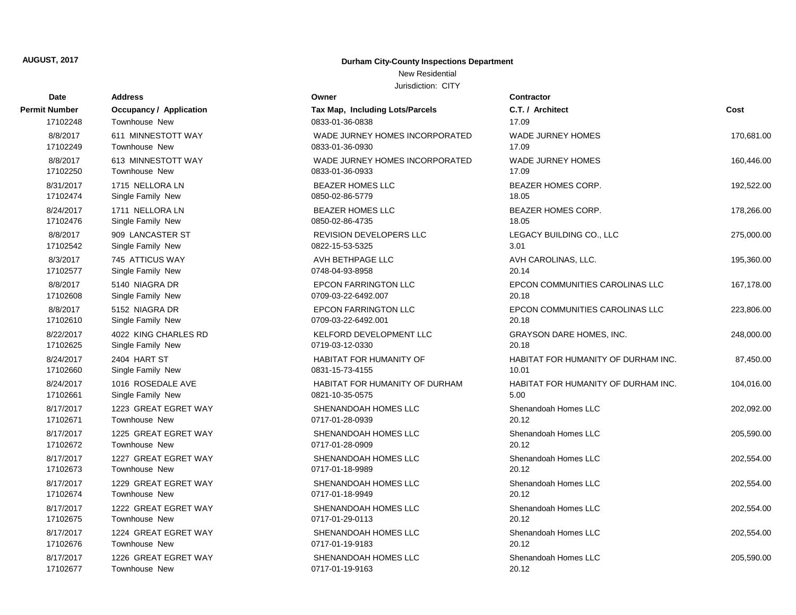### New Residential

| Date                 | <b>Address</b>                 | Owner                                 | Contractor                          |            |
|----------------------|--------------------------------|---------------------------------------|-------------------------------------|------------|
| <b>Permit Number</b> | <b>Occupancy / Application</b> | Tax Map, Including Lots/Parcels       | C.T. / Architect                    | Cost       |
| 17102248             | Townhouse New                  | 0833-01-36-0838                       | 17.09                               |            |
| 8/8/2017             | 611 MINNESTOTT WAY             | WADE JURNEY HOMES INCORPORATED        | <b>WADE JURNEY HOMES</b>            | 170,681.00 |
| 17102249             | <b>Townhouse New</b>           | 0833-01-36-0930                       | 17.09                               |            |
| 8/8/2017             | 613 MINNESTOTT WAY             | WADE JURNEY HOMES INCORPORATED        | <b>WADE JURNEY HOMES</b>            | 160,446.00 |
| 17102250             | <b>Townhouse New</b>           | 0833-01-36-0933                       | 17.09                               |            |
| 8/31/2017            | 1715 NELLORA LN                | <b>BEAZER HOMES LLC</b>               | BEAZER HOMES CORP.                  | 192,522.00 |
| 17102474             | Single Family New              | 0850-02-86-5779                       | 18.05                               |            |
| 8/24/2017            | 1711 NELLORA LN                | <b>BEAZER HOMES LLC</b>               | BEAZER HOMES CORP.                  | 178,266.00 |
| 17102476             | Single Family New              | 0850-02-86-4735                       | 18.05                               |            |
| 8/8/2017             | 909 LANCASTER ST               | REVISION DEVELOPERS LLC               | LEGACY BUILDING CO., LLC            | 275,000.00 |
| 17102542             | Single Family New              | 0822-15-53-5325                       | 3.01                                |            |
| 8/3/2017             | 745 ATTICUS WAY                | AVH BETHPAGE LLC                      | AVH CAROLINAS, LLC.                 | 195,360.00 |
| 17102577             | Single Family New              | 0748-04-93-8958                       | 20.14                               |            |
| 8/8/2017             | 5140 NIAGRA DR                 | <b>EPCON FARRINGTON LLC</b>           | EPCON COMMUNITIES CAROLINAS LLC     | 167,178.00 |
| 17102608             | Single Family New              | 0709-03-22-6492.007                   | 20.18                               |            |
| 8/8/2017             | 5152 NIAGRA DR                 | <b>EPCON FARRINGTON LLC</b>           | EPCON COMMUNITIES CAROLINAS LLC     | 223,806.00 |
| 17102610             | Single Family New              | 0709-03-22-6492.001                   | 20.18                               |            |
| 8/22/2017            | 4022 KING CHARLES RD           | KELFORD DEVELOPMENT LLC               | <b>GRAYSON DARE HOMES, INC.</b>     | 248,000.00 |
| 17102625             | Single Family New              | 0719-03-12-0330                       | 20.18                               |            |
| 8/24/2017            | 2404 HART ST                   | <b>HABITAT FOR HUMANITY OF</b>        | HABITAT FOR HUMANITY OF DURHAM INC. | 87,450.00  |
| 17102660             | Single Family New              | 0831-15-73-4155                       | 10.01                               |            |
| 8/24/2017            | 1016 ROSEDALE AVE              | <b>HABITAT FOR HUMANITY OF DURHAM</b> | HABITAT FOR HUMANITY OF DURHAM INC. | 104,016.00 |
| 17102661             | Single Family New              | 0821-10-35-0575                       | 5.00                                |            |
| 8/17/2017            | 1223 GREAT EGRET WAY           | SHENANDOAH HOMES LLC                  | Shenandoah Homes LLC                | 202,092.00 |
| 17102671             | Townhouse New                  | 0717-01-28-0939                       | 20.12                               |            |
| 8/17/2017            | 1225 GREAT EGRET WAY           | SHENANDOAH HOMES LLC                  | Shenandoah Homes LLC                | 205,590.00 |
| 17102672             | <b>Townhouse New</b>           | 0717-01-28-0909                       | 20.12                               |            |
| 8/17/2017            | 1227 GREAT EGRET WAY           | SHENANDOAH HOMES LLC                  | Shenandoah Homes LLC                | 202,554.00 |
| 17102673             | <b>Townhouse New</b>           | 0717-01-18-9989                       | 20.12                               |            |
| 8/17/2017            | 1229 GREAT EGRET WAY           | SHENANDOAH HOMES LLC                  | Shenandoah Homes LLC                | 202,554.00 |
| 17102674             | <b>Townhouse New</b>           | 0717-01-18-9949                       | 20.12                               |            |
| 8/17/2017            | 1222 GREAT EGRET WAY           | SHENANDOAH HOMES LLC                  | Shenandoah Homes LLC                | 202,554.00 |
| 17102675             | Townhouse New                  | 0717-01-29-0113                       | 20.12                               |            |
| 8/17/2017            | 1224 GREAT EGRET WAY           | SHENANDOAH HOMES LLC                  | Shenandoah Homes LLC                | 202,554.00 |
| 17102676             | Townhouse New                  | 0717-01-19-9183                       | 20.12                               |            |
| 8/17/2017            | 1226 GREAT EGRET WAY           | SHENANDOAH HOMES LLC                  | Shenandoah Homes LLC                | 205,590.00 |
| 17102677             | Townhouse New                  | 0717-01-19-9163                       | 20.12                               |            |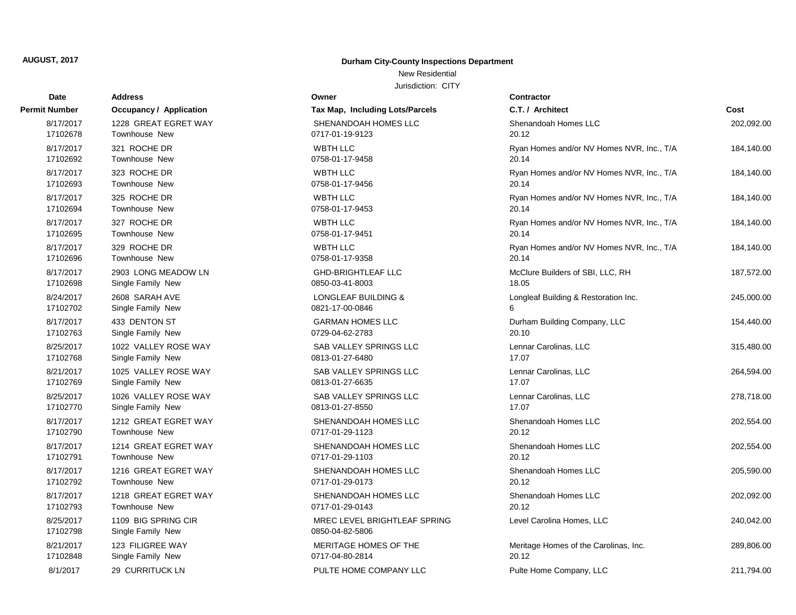Address

### **AUGUST, 2017 Durham City-County Inspections Department**

New Residential

| Date                  | <b>Address</b>                           | Owner                                        | <b>Contractor</b>                              |            |
|-----------------------|------------------------------------------|----------------------------------------------|------------------------------------------------|------------|
| <b>Permit Number</b>  | <b>Occupancy / Application</b>           | Tax Map, Including Lots/Parcels              | C.T. / Architect                               | Cost       |
| 8/17/2017             | 1228 GREAT EGRET WAY                     | SHENANDOAH HOMES LLC                         | Shenandoah Homes LLC                           | 202,092.00 |
| 17102678              | <b>Townhouse New</b>                     | 0717-01-19-9123                              | 20.12                                          |            |
| 8/17/2017             | 321 ROCHE DR                             | <b>WBTH LLC</b>                              | Ryan Homes and/or NV Homes NVR, Inc., T/A      | 184,140.00 |
| 17102692              | <b>Townhouse New</b>                     | 0758-01-17-9458                              | 20.14                                          |            |
| 8/17/2017             | 323 ROCHE DR                             | <b>WBTH LLC</b>                              | Ryan Homes and/or NV Homes NVR, Inc., T/A      | 184,140.00 |
| 17102693              | Townhouse New                            | 0758-01-17-9456                              | 20.14                                          |            |
| 8/17/2017             | 325 ROCHE DR                             | <b>WBTH LLC</b>                              | Ryan Homes and/or NV Homes NVR, Inc., T/A      | 184,140.00 |
| 17102694              | Townhouse New                            | 0758-01-17-9453                              | 20.14                                          |            |
| 8/17/2017             | 327 ROCHE DR                             | WBTH LLC                                     | Ryan Homes and/or NV Homes NVR, Inc., T/A      | 184,140.00 |
| 17102695              | Townhouse New                            | 0758-01-17-9451                              | 20.14                                          |            |
| 8/17/2017             | 329 ROCHE DR                             | <b>WBTH LLC</b>                              | Ryan Homes and/or NV Homes NVR, Inc., T/A      | 184,140.00 |
| 17102696              | Townhouse New                            | 0758-01-17-9358                              | 20.14                                          |            |
| 8/17/2017<br>17102698 | 2903 LONG MEADOW LN<br>Single Family New | <b>GHD-BRIGHTLEAF LLC</b><br>0850-03-41-8003 | McClure Builders of SBI, LLC, RH<br>18.05      | 187,572.00 |
| 8/24/2017             | 2608 SARAH AVE                           | <b>LONGLEAF BUILDING &amp;</b>               |                                                | 245,000.00 |
| 17102702              | Single Family New                        | 0821-17-00-0846                              | Longleaf Building & Restoration Inc.           |            |
| 8/17/2017             | 433 DENTON ST                            | <b>GARMAN HOMES LLC</b>                      | Durham Building Company, LLC                   | 154,440.00 |
| 17102763              | Single Family New                        | 0729-04-62-2783                              | 20.10                                          |            |
| 8/25/2017             | 1022 VALLEY ROSE WAY                     | SAB VALLEY SPRINGS LLC                       | Lennar Carolinas, LLC                          | 315,480.00 |
| 17102768              | Single Family New                        | 0813-01-27-6480                              | 17.07                                          |            |
| 8/21/2017             | 1025 VALLEY ROSE WAY                     | SAB VALLEY SPRINGS LLC                       | Lennar Carolinas, LLC                          | 264,594.00 |
| 17102769              | Single Family New                        | 0813-01-27-6635                              | 17.07                                          |            |
| 8/25/2017             | 1026 VALLEY ROSE WAY                     | SAB VALLEY SPRINGS LLC                       | Lennar Carolinas, LLC                          | 278,718.00 |
| 17102770              | Single Family New                        | 0813-01-27-8550                              | 17.07                                          |            |
| 8/17/2017             | 1212 GREAT EGRET WAY                     | SHENANDOAH HOMES LLC                         | Shenandoah Homes LLC                           | 202,554.00 |
| 17102790              | <b>Townhouse New</b>                     | 0717-01-29-1123                              | 20.12                                          |            |
| 8/17/2017             | 1214 GREAT EGRET WAY                     | SHENANDOAH HOMES LLC                         | Shenandoah Homes LLC                           | 202.554.00 |
| 17102791              | Townhouse New                            | 0717-01-29-1103                              | 20.12                                          |            |
| 8/17/2017             | 1216 GREAT EGRET WAY                     | SHENANDOAH HOMES LLC                         | Shenandoah Homes LLC                           | 205,590.00 |
| 17102792              | Townhouse New                            | 0717-01-29-0173                              | 20.12                                          |            |
| 8/17/2017             | 1218 GREAT EGRET WAY                     | SHENANDOAH HOMES LLC                         | Shenandoah Homes LLC                           | 202,092.00 |
| 17102793              | <b>Townhouse New</b>                     | 0717-01-29-0143                              | 20.12                                          |            |
| 8/25/2017             | 1109 BIG SPRING CIR                      | MREC LEVEL BRIGHTLEAF SPRING                 | Level Carolina Homes, LLC                      | 240,042.00 |
| 17102798              | Single Family New                        | 0850-04-82-5806                              |                                                |            |
| 8/21/2017<br>17102848 | 123 FILIGREE WAY<br>Single Family New    | MERITAGE HOMES OF THE<br>0717-04-80-2814     | Meritage Homes of the Carolinas, Inc.<br>20.12 | 289,806.00 |
|                       | <b>29 CURRITUCK LN</b>                   | PULTE HOME COMPANY LLC                       |                                                |            |
| 8/1/2017              |                                          |                                              | Pulte Home Company, LLC                        | 211,794.00 |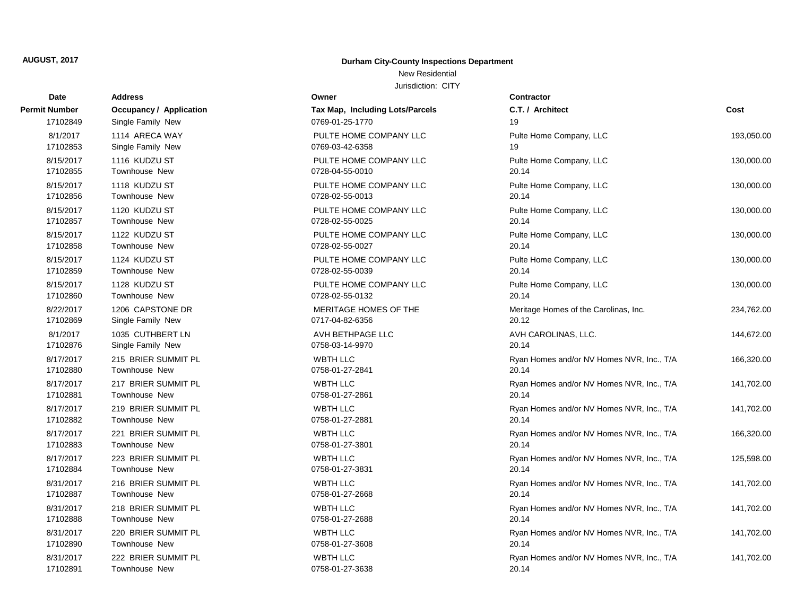# **Date Contractor Address Owner Permit Number Occupancy / Application Tax Map, Tax Map,** 17102849 Single Family New 0769-01-25 17102853 Single Family New 20769-03-42 17102855 Townhouse New 2001 2012 17102855 Townhouse New 2001 2012 18:00:00 17102856 Townhouse New 0728-02-55-0013 20.14 17102857 Townhouse New 20728-02-55 17102858 Townhouse New 2001 2012 202-55 17102859 Townhouse New 2012 2021 2021 2022 202-55 17102860 Townhouse New 2001 2012 202-55 17102869 Single Family New 20717-04-82 8/1/2017 1035 CUTHBERT LN AVH BETH 17102876 Single Family New 0758-03-14 8/17/2017 215 BRIER SUMMIT PL WBTH LLC 17102880 Townhouse New 20758-01-27-2840 8/17/2017 217 BRIER SUMMIT PL WBTH LLC 17102881 Townhouse New 20758-01-27-2861 8/17/2017 219 BRIER SUMMIT PL WBTH LLC 17102882 Townhouse New 2001 2006 17102882 Townhouse New 2007 8/17/2017 221 BRIER SUMMIT PL WBTH LLC 17102883 Townhouse New 0758-01-27 8/17/2017 223 BRIER SUMMIT PL WBTH LLC 17102884 Townhouse New 20758-01-27 8/31/2017 216 BRIER SUMMIT PL WBTH LLC 17102887 Townhouse New 20758-01-27-266 8/31/2017 218 BRIER SUMMIT PL WBTH LLC 17102888 Townhouse New 20758-01-27 8/31/2017 220 BRIER SUMMIT PL WBTH LLC 17102890 Townhouse New 2008 201-27 8/31/2017 222 BRIER SUMMIT PL WBTH LLC

### **AUGUST, 2017 Durham City-County Inspections Department**

### New Residential

| t Number  | <b>Occupancy / Application</b> | Tax Map, Including Lots/Parcels | C.T. / Architect                          | Cost       |
|-----------|--------------------------------|---------------------------------|-------------------------------------------|------------|
| 17102849  | Single Family New              | 0769-01-25-1770                 | 19                                        |            |
| 8/1/2017  | 1114 ARECA WAY                 | PULTE HOME COMPANY LLC          | Pulte Home Company, LLC                   | 193,050.00 |
| 17102853  | Single Family New              | 0769-03-42-6358                 | 19                                        |            |
| 8/15/2017 | 1116 KUDZU ST                  | PULTE HOME COMPANY LLC          | Pulte Home Company, LLC                   | 130,000.00 |
| 17102855  | Townhouse New                  | 0728-04-55-0010                 | 20.14                                     |            |
| 8/15/2017 | 1118 KUDZU ST                  | PULTE HOME COMPANY LLC          | Pulte Home Company, LLC                   | 130,000.00 |
| 17102856  | Townhouse New                  | 0728-02-55-0013                 | 20.14                                     |            |
| 8/15/2017 | 1120 KUDZU ST                  | PULTE HOME COMPANY LLC          | Pulte Home Company, LLC                   | 130,000.00 |
| 17102857  | Townhouse New                  | 0728-02-55-0025                 | 20.14                                     |            |
| 8/15/2017 | 1122 KUDZU ST                  | PULTE HOME COMPANY LLC          | Pulte Home Company, LLC                   | 130,000.00 |
| 17102858  | Townhouse New                  | 0728-02-55-0027                 | 20.14                                     |            |
| 8/15/2017 | 1124 KUDZU ST                  | PULTE HOME COMPANY LLC          | Pulte Home Company, LLC                   | 130,000.00 |
| 17102859  | Townhouse New                  | 0728-02-55-0039                 | 20.14                                     |            |
| 8/15/2017 | 1128 KUDZU ST                  | PULTE HOME COMPANY LLC          | Pulte Home Company, LLC                   | 130,000.00 |
| 17102860  | Townhouse New                  | 0728-02-55-0132                 | 20.14                                     |            |
| 8/22/2017 | 1206 CAPSTONE DR               | MERITAGE HOMES OF THE           | Meritage Homes of the Carolinas, Inc.     | 234,762.00 |
| 17102869  | Single Family New              | 0717-04-82-6356                 | 20.12                                     |            |
| 8/1/2017  | 1035 CUTHBERT LN               | AVH BETHPAGE LLC                | AVH CAROLINAS, LLC.                       | 144,672.00 |
| 17102876  | Single Family New              | 0758-03-14-9970                 | 20.14                                     |            |
| 8/17/2017 | 215 BRIER SUMMIT PL            | <b>WBTH LLC</b>                 | Ryan Homes and/or NV Homes NVR, Inc., T/A | 166,320.00 |
| 17102880  | <b>Townhouse New</b>           | 0758-01-27-2841                 | 20.14                                     |            |
| 8/17/2017 | 217 BRIER SUMMIT PL            | <b>WBTH LLC</b>                 | Ryan Homes and/or NV Homes NVR, Inc., T/A | 141,702.00 |
| 17102881  | Townhouse New                  | 0758-01-27-2861                 | 20.14                                     |            |
| 8/17/2017 | 219 BRIER SUMMIT PL            | <b>WBTH LLC</b>                 | Ryan Homes and/or NV Homes NVR, Inc., T/A | 141,702.00 |
| 17102882  | Townhouse New                  | 0758-01-27-2881                 | 20.14                                     |            |
| 8/17/2017 | 221 BRIER SUMMIT PL            | <b>WBTH LLC</b>                 | Ryan Homes and/or NV Homes NVR, Inc., T/A | 166,320.00 |
| 17102883  | Townhouse New                  | 0758-01-27-3801                 | 20.14                                     |            |
| 8/17/2017 | 223 BRIER SUMMIT PL            | <b>WBTH LLC</b>                 | Ryan Homes and/or NV Homes NVR, Inc., T/A | 125,598.00 |
| 17102884  | Townhouse New                  | 0758-01-27-3831                 | 20.14                                     |            |
| 8/31/2017 | 216 BRIER SUMMIT PL            | <b>WBTH LLC</b>                 | Ryan Homes and/or NV Homes NVR, Inc., T/A | 141,702.00 |
| 17102887  | Townhouse New                  | 0758-01-27-2668                 | 20.14                                     |            |
| 8/31/2017 | 218 BRIER SUMMIT PL            | <b>WBTH LLC</b>                 | Ryan Homes and/or NV Homes NVR, Inc., T/A | 141,702.00 |
| 17102888  | Townhouse New                  | 0758-01-27-2688                 | 20.14                                     |            |
| 8/31/2017 | 220 BRIER SUMMIT PL            | WBTH LLC                        | Ryan Homes and/or NV Homes NVR, Inc., T/A | 141,702.00 |
| 17102890  | Townhouse New                  | 0758-01-27-3608                 | 20.14                                     |            |
| 8/31/2017 | 222 BRIER SUMMIT PL            | <b>WBTH LLC</b>                 | Ryan Homes and/or NV Homes NVR, Inc., T/A | 141,702.00 |
| 17102891  | Townhouse New                  | 0758-01-27-3638                 | 20.14                                     |            |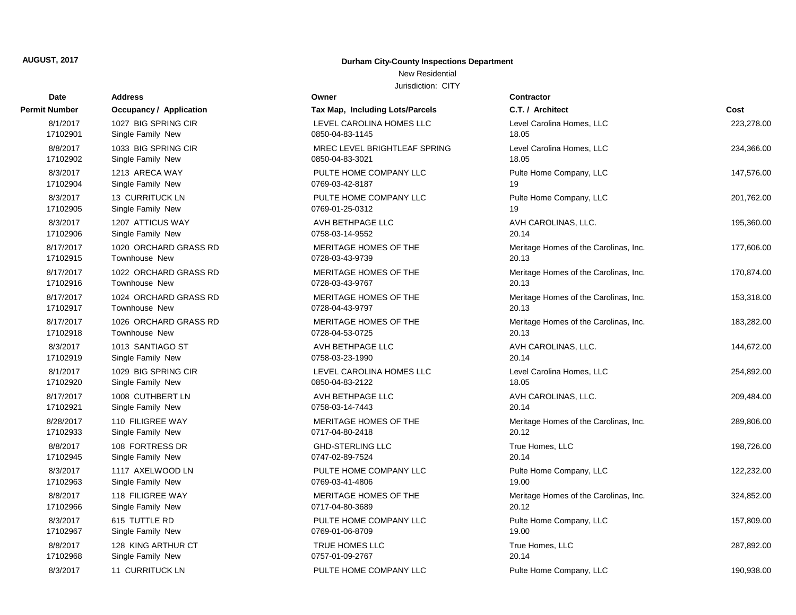# **Date Contractor Address Owner Permit Number Occupancy / Application Tax Map, Including 1** 8/1/2017 1027 BIG SPRING CIR LEVEL CAROLINA HOMES LEVEL CAROLINA HOMES 17102901 Single Family New 0850-04-83-1145 8/8/2017 1033 BIG SPRING CIR NEWS SAME SPRING LEVEL BRIGHTLEAF SPRING LEVEL 23 17102902 Single Family New 0850-04-83-3021 17102904 Single Family New 2010 12:00:00 0769-03-42-8187 17102905 Single Family New 0769-01-25-0312 8/3/2017 1207 ATTICUS WAY AVH BETHPAGE LLC 17102906 Single Family New 2012 2014 2015 2016 2016 2019 2019 2014 2015 2016 2017 8/17/2017 1020 ORCHARD GRASS RD MERITAGE HOMES 17102915 Townhouse New 2012 10:00 12:00 12:00 17102915 20.13-9739 8/17/2017 1022 ORCHARD GRASS RD MERITAGE HOMES 17102916 Townhouse New 2012 17102916 2728-03-43-9767 8/17/2017 1024 ORCHARD GRASS RD MERITAGE HOMES 17102917 Townhouse New 2012 17102917 2012 17102917 8/17/2017 1026 ORCHARD GRASS RD MERITAGE HOMES 17102918 Townhouse New 2012 17102918 20725-04-53-0725 17102919 Single Family New 20158-03-23-1990 2016-01-120.14 8/1/2017 1029 BIG SPRING CIR LEVEL CAROLINA HOMES 17102920 Single Family New 0850-04-83-2122 17102921 Single Family New 2012 2014 20158-03-14-7443 17102933 Single Family New 0717-04-80-2418 17102945 Single Family New 2012 2021 2021 2021 2021 2021 2022 2022 2022 2022 2022 2023 2024 2022 202 17102963 Single Family New 0769-03-41-4806 17102966 Single Family New 2017-04-80-3689 17102967 Single Family New 2012 19:00 0769-01-06-8709 17102968 Single Family New 20157-01-09-2767

### **AUGUST, 2017 Durham City-County Inspections Department**

# New Residential

| υαισ      |                         |                                 |                                       |            |
|-----------|-------------------------|---------------------------------|---------------------------------------|------------|
| Number    | Occupancy / Application | Tax Map, Including Lots/Parcels | C.T. / Architect                      | Cost       |
| 8/1/2017  | 1027 BIG SPRING CIR     | LEVEL CAROLINA HOMES LLC        | Level Carolina Homes, LLC             | 223,278.00 |
| 17102901  | Single Family New       | 0850-04-83-1145                 | 18.05                                 |            |
| 8/8/2017  | 1033 BIG SPRING CIR     | MREC LEVEL BRIGHTLEAF SPRING    | Level Carolina Homes, LLC             | 234,366.00 |
| 17102902  | Single Family New       | 0850-04-83-3021                 | 18.05                                 |            |
| 8/3/2017  | 1213 ARECA WAY          | PULTE HOME COMPANY LLC          | Pulte Home Company, LLC               | 147,576.00 |
| 17102904  | Single Family New       | 0769-03-42-8187                 | 19                                    |            |
| 8/3/2017  | <b>13 CURRITUCK LN</b>  | PULTE HOME COMPANY LLC          | Pulte Home Company, LLC               | 201,762.00 |
| 17102905  | Single Family New       | 0769-01-25-0312                 | 19                                    |            |
| 8/3/2017  | 1207 ATTICUS WAY        | AVH BETHPAGE LLC                | AVH CAROLINAS, LLC.                   | 195,360.00 |
| 17102906  | Single Family New       | 0758-03-14-9552                 | 20.14                                 |            |
| 8/17/2017 | 1020 ORCHARD GRASS RD   | MERITAGE HOMES OF THE           | Meritage Homes of the Carolinas, Inc. | 177,606.00 |
| 17102915  | <b>Townhouse New</b>    | 0728-03-43-9739                 | 20.13                                 |            |
| 8/17/2017 | 1022 ORCHARD GRASS RD   | MERITAGE HOMES OF THE           | Meritage Homes of the Carolinas, Inc. | 170,874.00 |
| 17102916  | <b>Townhouse New</b>    | 0728-03-43-9767                 | 20.13                                 |            |
| 8/17/2017 | 1024 ORCHARD GRASS RD   | MERITAGE HOMES OF THE           | Meritage Homes of the Carolinas, Inc. | 153,318.00 |
| 17102917  | <b>Townhouse New</b>    | 0728-04-43-9797                 | 20.13                                 |            |
| 8/17/2017 | 1026 ORCHARD GRASS RD   | MERITAGE HOMES OF THE           | Meritage Homes of the Carolinas, Inc. | 183,282.00 |
| 17102918  | Townhouse New           | 0728-04-53-0725                 | 20.13                                 |            |
| 8/3/2017  | 1013 SANTIAGO ST        | AVH BETHPAGE LLC                | AVH CAROLINAS, LLC.                   | 144,672.00 |
| 17102919  | Single Family New       | 0758-03-23-1990                 | 20.14                                 |            |
| 8/1/2017  | 1029 BIG SPRING CIR     | LEVEL CAROLINA HOMES LLC        | Level Carolina Homes, LLC             | 254,892.00 |
| 17102920  | Single Family New       | 0850-04-83-2122                 | 18.05                                 |            |
| 8/17/2017 | 1008 CUTHBERT LN        | AVH BETHPAGE LLC                | AVH CAROLINAS, LLC.                   | 209,484.00 |
| 17102921  | Single Family New       | 0758-03-14-7443                 | 20.14                                 |            |
| 8/28/2017 | 110 FILIGREE WAY        | MERITAGE HOMES OF THE           | Meritage Homes of the Carolinas, Inc. | 289,806.00 |
| 17102933  | Single Family New       | 0717-04-80-2418                 | 20.12                                 |            |
| 8/8/2017  | 108 FORTRESS DR         | <b>GHD-STERLING LLC</b>         | True Homes, LLC                       | 198,726.00 |
| 17102945  | Single Family New       | 0747-02-89-7524                 | 20.14                                 |            |
| 8/3/2017  | 1117 AXELWOOD LN        | PULTE HOME COMPANY LLC          | Pulte Home Company, LLC               | 122,232.00 |
| 17102963  | Single Family New       | 0769-03-41-4806                 | 19.00                                 |            |
| 8/8/2017  | 118 FILIGREE WAY        | MERITAGE HOMES OF THE           | Meritage Homes of the Carolinas, Inc. | 324,852.00 |
| 17102966  | Single Family New       | 0717-04-80-3689                 | 20.12                                 |            |
| 8/3/2017  | 615 TUTTLE RD           | PULTE HOME COMPANY LLC          | Pulte Home Company, LLC               | 157,809.00 |
| 17102967  | Single Family New       | 0769-01-06-8709                 | 19.00                                 |            |
| 8/8/2017  | 128 KING ARTHUR CT      | TRUE HOMES LLC                  | True Homes, LLC                       | 287,892.00 |
| 17102968  | Single Family New       | 0757-01-09-2767                 | 20.14                                 |            |
| 8/3/2017  | <b>11 CURRITUCK LN</b>  | PULTE HOME COMPANY LLC          | Pulte Home Company, LLC               | 190,938.00 |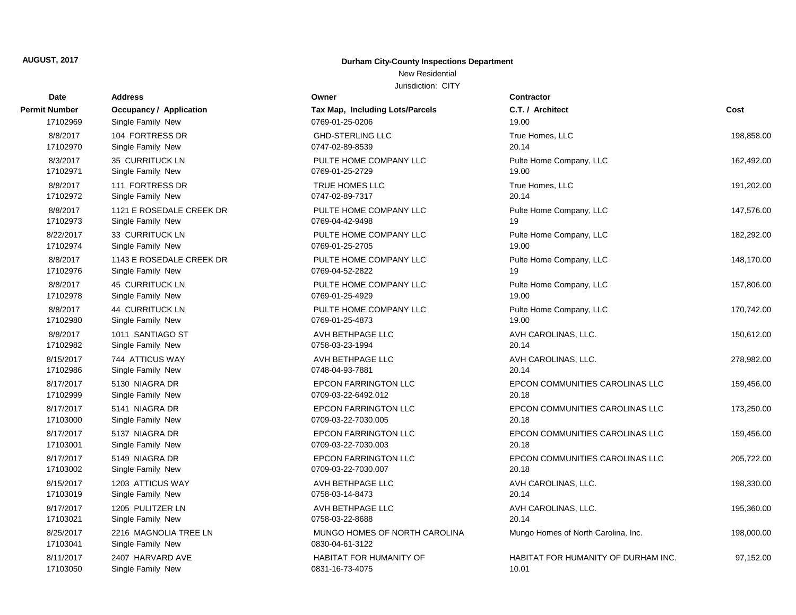### New Residential

| Date                  | <b>Address</b>                             | Owner                                            | <b>Contractor</b>                   |            |
|-----------------------|--------------------------------------------|--------------------------------------------------|-------------------------------------|------------|
| <b>Permit Number</b>  | <b>Occupancy / Application</b>             | Tax Map, Including Lots/Parcels                  | C.T. / Architect                    | Cost       |
| 17102969              | Single Family New                          | 0769-01-25-0206                                  | 19.00                               |            |
| 8/8/2017              | 104 FORTRESS DR                            | <b>GHD-STERLING LLC</b>                          | True Homes, LLC                     | 198,858.00 |
| 17102970              | Single Family New                          | 0747-02-89-8539                                  | 20.14                               |            |
| 8/3/2017              | 35 CURRITUCK LN                            | PULTE HOME COMPANY LLC                           | Pulte Home Company, LLC             | 162,492.00 |
| 17102971              | Single Family New                          | 0769-01-25-2729                                  | 19.00                               |            |
| 8/8/2017              | 111 FORTRESS DR                            | TRUE HOMES LLC                                   | True Homes, LLC                     | 191,202.00 |
| 17102972              | Single Family New                          | 0747-02-89-7317                                  | 20.14                               |            |
| 8/8/2017              | 1121 E ROSEDALE CREEK DR                   | PULTE HOME COMPANY LLC                           | Pulte Home Company, LLC             | 147,576.00 |
| 17102973              | Single Family New                          | 0769-04-42-9498                                  | 19                                  |            |
| 8/22/2017             | 33 CURRITUCK LN                            | PULTE HOME COMPANY LLC                           | Pulte Home Company, LLC             | 182,292.00 |
| 17102974              | Single Family New                          | 0769-01-25-2705                                  | 19.00                               |            |
| 8/8/2017              | 1143 E ROSEDALE CREEK DR                   | PULTE HOME COMPANY LLC                           | Pulte Home Company, LLC             | 148,170.00 |
| 17102976              | Single Family New                          | 0769-04-52-2822                                  | 19                                  |            |
| 8/8/2017              | <b>45 CURRITUCK LN</b>                     | PULTE HOME COMPANY LLC                           | Pulte Home Company, LLC             | 157,806.00 |
| 17102978              | Single Family New                          | 0769-01-25-4929                                  | 19.00                               |            |
| 8/8/2017              | 44 CURRITUCK LN                            | PULTE HOME COMPANY LLC                           | Pulte Home Company, LLC             | 170,742.00 |
| 17102980              | Single Family New                          | 0769-01-25-4873                                  | 19.00                               |            |
| 8/8/2017              | 1011 SANTIAGO ST                           | AVH BETHPAGE LLC                                 | AVH CAROLINAS, LLC.                 | 150,612.00 |
| 17102982              | Single Family New                          | 0758-03-23-1994                                  | 20.14                               |            |
| 8/15/2017             | 744 ATTICUS WAY                            | AVH BETHPAGE LLC                                 | AVH CAROLINAS, LLC.                 | 278,982.00 |
| 17102986              | Single Family New                          | 0748-04-93-7881                                  | 20.14                               |            |
| 8/17/2017             | 5130 NIAGRA DR                             | <b>EPCON FARRINGTON LLC</b>                      | EPCON COMMUNITIES CAROLINAS LLC     | 159,456.00 |
| 17102999              | Single Family New                          | 0709-03-22-6492.012                              | 20.18                               |            |
| 8/17/2017             | 5141 NIAGRA DR                             | <b>EPCON FARRINGTON LLC</b>                      | EPCON COMMUNITIES CAROLINAS LLC     | 173,250.00 |
| 17103000              | Single Family New                          | 0709-03-22-7030.005                              | 20.18                               |            |
| 8/17/2017             | 5137 NIAGRA DR                             | <b>EPCON FARRINGTON LLC</b>                      | EPCON COMMUNITIES CAROLINAS LLC     | 159,456.00 |
| 17103001              | Single Family New                          | 0709-03-22-7030.003                              | 20.18                               |            |
| 8/17/2017             | 5149 NIAGRA DR                             | <b>EPCON FARRINGTON LLC</b>                      | EPCON COMMUNITIES CAROLINAS LLC     | 205,722.00 |
| 17103002              | Single Family New                          | 0709-03-22-7030.007                              | 20.18                               |            |
| 8/15/2017             | 1203 ATTICUS WAY                           | AVH BETHPAGE LLC                                 | AVH CAROLINAS, LLC.                 | 198,330.00 |
| 17103019              | Single Family New                          | 0758-03-14-8473                                  | 20.14                               |            |
| 8/17/2017             | 1205 PULITZER LN                           | AVH BETHPAGE LLC                                 | AVH CAROLINAS, LLC.                 | 195,360.00 |
| 17103021              | Single Family New                          | 0758-03-22-8688                                  | 20.14                               |            |
| 8/25/2017<br>17103041 | 2216 MAGNOLIA TREE LN<br>Single Family New | MUNGO HOMES OF NORTH CAROLINA<br>0830-04-61-3122 | Mungo Homes of North Carolina, Inc. | 198,000.00 |
| 8/11/2017             | 2407 HARVARD AVE                           | HABITAT FOR HUMANITY OF                          | HABITAT FOR HUMANITY OF DURHAM INC. | 97,152.00  |
| 17103050              | Single Family New                          | 0831-16-73-4075                                  | 10.01                               |            |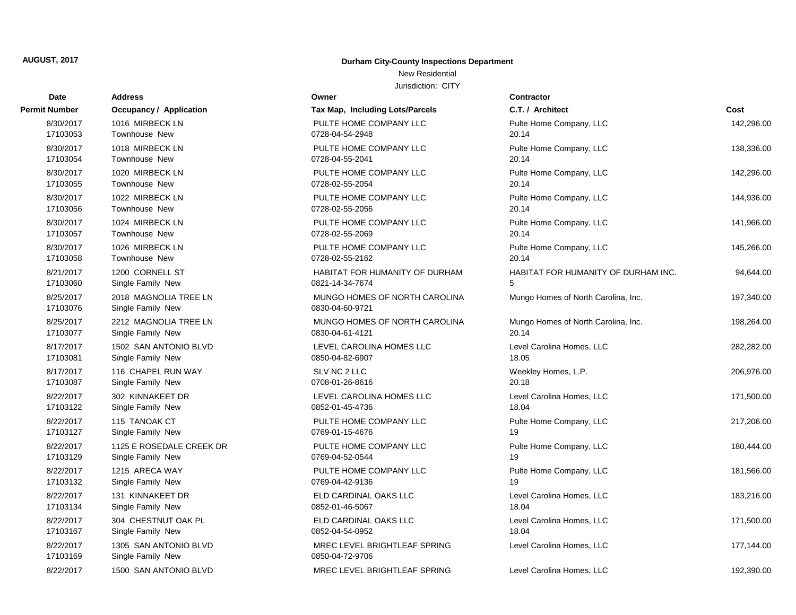# New Residential

| Date                  | <b>Address</b>                             | Owner                                            | <b>Contractor</b>                            |            |
|-----------------------|--------------------------------------------|--------------------------------------------------|----------------------------------------------|------------|
| Permit Number         | <b>Occupancy / Application</b>             | Tax Map, Including Lots/Parcels                  | C.T. / Architect                             | Cost       |
| 8/30/2017             | 1016 MIRBECK LN                            | PULTE HOME COMPANY LLC                           | Pulte Home Company, LLC                      | 142,296.00 |
| 17103053              | Townhouse New                              | 0728-04-54-2948                                  | 20.14                                        |            |
| 8/30/2017             | 1018 MIRBECK LN                            | PULTE HOME COMPANY LLC                           | Pulte Home Company, LLC                      | 138,336.00 |
| 17103054              | <b>Townhouse New</b>                       | 0728-04-55-2041                                  | 20.14                                        |            |
| 8/30/2017             | 1020 MIRBECK LN                            | PULTE HOME COMPANY LLC                           | Pulte Home Company, LLC                      | 142,296.00 |
| 17103055              | <b>Townhouse New</b>                       | 0728-02-55-2054                                  | 20.14                                        |            |
| 8/30/2017             | 1022 MIRBECK LN                            | PULTE HOME COMPANY LLC                           | Pulte Home Company, LLC                      | 144,936.00 |
| 17103056              | <b>Townhouse New</b>                       | 0728-02-55-2056                                  | 20.14                                        |            |
| 8/30/2017             | 1024 MIRBECK LN                            | PULTE HOME COMPANY LLC                           | Pulte Home Company, LLC                      | 141,966.00 |
| 17103057              | <b>Townhouse New</b>                       | 0728-02-55-2069                                  | 20.14                                        |            |
| 8/30/2017             | 1026 MIRBECK LN                            | PULTE HOME COMPANY LLC                           | Pulte Home Company, LLC                      | 145,266.00 |
| 17103058              | Townhouse New                              | 0728-02-55-2162                                  | 20.14                                        |            |
| 8/21/2017             | 1200 CORNELL ST                            | HABITAT FOR HUMANITY OF DURHAM                   | HABITAT FOR HUMANITY OF DURHAM INC.          | 94,644.00  |
| 17103060              | Single Family New                          | 0821-14-34-7674                                  |                                              |            |
| 8/25/2017<br>17103076 | 2018 MAGNOLIA TREE LN                      | MUNGO HOMES OF NORTH CAROLINA<br>0830-04-60-9721 | Mungo Homes of North Carolina, Inc.          | 197,340.00 |
|                       | Single Family New                          |                                                  |                                              |            |
| 8/25/2017<br>17103077 | 2212 MAGNOLIA TREE LN<br>Single Family New | MUNGO HOMES OF NORTH CAROLINA<br>0830-04-61-4121 | Mungo Homes of North Carolina, Inc.<br>20.14 | 198,264.00 |
| 8/17/2017             | 1502 SAN ANTONIO BLVD                      | LEVEL CAROLINA HOMES LLC                         | Level Carolina Homes, LLC                    | 282,282.00 |
| 17103081              | Single Family New                          | 0850-04-82-6907                                  | 18.05                                        |            |
| 8/17/2017             | 116 CHAPEL RUN WAY                         | SLV NC 2 LLC                                     | Weekley Homes, L.P.                          | 206,976.00 |
| 17103087              | Single Family New                          | 0708-01-26-8616                                  | 20.18                                        |            |
| 8/22/2017             | 302 KINNAKEET DR                           | LEVEL CAROLINA HOMES LLC                         | Level Carolina Homes, LLC                    | 171,500.00 |
| 17103122              | Single Family New                          | 0852-01-45-4736                                  | 18.04                                        |            |
| 8/22/2017             | 115 TANOAK CT                              | PULTE HOME COMPANY LLC                           | Pulte Home Company, LLC                      | 217,206.00 |
| 17103127              | Single Family New                          | 0769-01-15-4676                                  | 19                                           |            |
| 8/22/2017             | 1125 E ROSEDALE CREEK DR                   | PULTE HOME COMPANY LLC                           | Pulte Home Company, LLC                      | 180,444.00 |
| 17103129              | Single Family New                          | 0769-04-52-0544                                  | 19                                           |            |
| 8/22/2017             | 1215 ARECA WAY                             | PULTE HOME COMPANY LLC                           | Pulte Home Company, LLC                      | 181.566.00 |
| 17103132              | Single Family New                          | 0769-04-42-9136                                  | 19                                           |            |
| 8/22/2017             | 131 KINNAKEET DR                           | ELD CARDINAL OAKS LLC                            | Level Carolina Homes, LLC                    | 183,216.00 |
| 17103134              | Single Family New                          | 0852-01-46-5067                                  | 18.04                                        |            |
| 8/22/2017             | 304 CHESTNUT OAK PL                        | ELD CARDINAL OAKS LLC                            | Level Carolina Homes, LLC                    | 171,500.00 |
| 17103167              | Single Family New                          | 0852-04-54-0952                                  | 18.04                                        |            |
| 8/22/2017             | 1305 SAN ANTONIO BLVD                      | MREC LEVEL BRIGHTLEAF SPRING                     | Level Carolina Homes, LLC                    | 177,144.00 |
| 17103169              | Single Family New                          | 0850-04-72-9706                                  |                                              |            |
| 8/22/2017             | 1500 SAN ANTONIO BLVD                      | MREC LEVEL BRIGHTLEAF SPRING                     | Level Carolina Homes, LLC                    | 192,390.00 |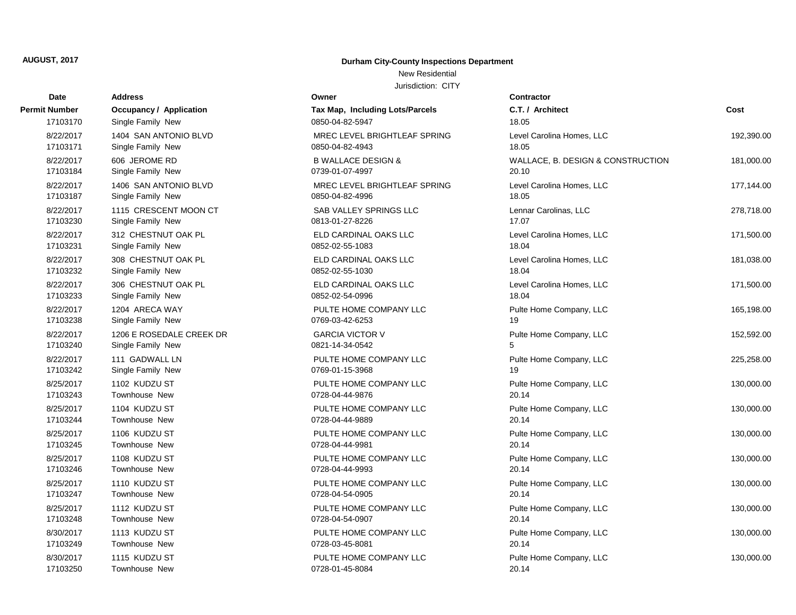### New Residential

| Date                  | <b>Address</b>                                | Owner                                     | <b>Contractor</b>                 |            |
|-----------------------|-----------------------------------------------|-------------------------------------------|-----------------------------------|------------|
| <b>Permit Number</b>  | Occupancy / Application                       | Tax Map, Including Lots/Parcels           | C.T. / Architect                  | Cost       |
| 17103170              | Single Family New                             | 0850-04-82-5947                           | 18.05                             |            |
| 8/22/2017             | 1404 SAN ANTONIO BLVD                         | MREC LEVEL BRIGHTLEAF SPRING              | Level Carolina Homes, LLC         | 192,390.00 |
| 17103171              | Single Family New                             | 0850-04-82-4943                           | 18.05                             |            |
| 8/22/2017             | 606 JEROME RD                                 | <b>B WALLACE DESIGN &amp;</b>             | WALLACE, B. DESIGN & CONSTRUCTION | 181,000.00 |
| 17103184              | Single Family New                             | 0739-01-07-4997                           | 20.10                             |            |
| 8/22/2017             | 1406 SAN ANTONIO BLVD                         | MREC LEVEL BRIGHTLEAF SPRING              | Level Carolina Homes, LLC         | 177,144.00 |
| 17103187              | Single Family New                             | 0850-04-82-4996                           | 18.05                             |            |
| 8/22/2017             | 1115 CRESCENT MOON CT                         | SAB VALLEY SPRINGS LLC                    | Lennar Carolinas, LLC             | 278,718.00 |
| 17103230              | Single Family New                             | 0813-01-27-8226                           | 17.07                             |            |
| 8/22/2017             | 312 CHESTNUT OAK PL                           | ELD CARDINAL OAKS LLC                     | Level Carolina Homes, LLC         | 171,500.00 |
| 17103231              | Single Family New                             | 0852-02-55-1083                           | 18.04                             |            |
| 8/22/2017             | 308 CHESTNUT OAK PL                           | ELD CARDINAL OAKS LLC                     | Level Carolina Homes, LLC         | 181,038.00 |
| 17103232              | Single Family New                             | 0852-02-55-1030                           | 18.04                             |            |
| 8/22/2017             | 306 CHESTNUT OAK PL                           | ELD CARDINAL OAKS LLC                     | Level Carolina Homes, LLC         | 171,500.00 |
| 17103233              | Single Family New                             | 0852-02-54-0996                           | 18.04                             |            |
| 8/22/2017             | 1204 ARECA WAY                                | PULTE HOME COMPANY LLC                    | Pulte Home Company, LLC           | 165,198.00 |
| 17103238              | Single Family New                             | 0769-03-42-6253                           | 19                                |            |
| 8/22/2017<br>17103240 | 1206 E ROSEDALE CREEK DR<br>Single Family New | <b>GARCIA VICTOR V</b><br>0821-14-34-0542 | Pulte Home Company, LLC           | 152,592.00 |
|                       |                                               |                                           |                                   |            |
| 8/22/2017<br>17103242 | 111 GADWALL LN<br>Single Family New           | PULTE HOME COMPANY LLC<br>0769-01-15-3968 | Pulte Home Company, LLC<br>19     | 225,258.00 |
| 8/25/2017             | 1102 KUDZU ST                                 | PULTE HOME COMPANY LLC                    |                                   | 130,000.00 |
| 17103243              | Townhouse New                                 | 0728-04-44-9876                           | Pulte Home Company, LLC<br>20.14  |            |
| 8/25/2017             | 1104 KUDZU ST                                 | PULTE HOME COMPANY LLC                    | Pulte Home Company, LLC           | 130,000.00 |
| 17103244              | <b>Townhouse New</b>                          | 0728-04-44-9889                           | 20.14                             |            |
| 8/25/2017             | 1106 KUDZU ST                                 | PULTE HOME COMPANY LLC                    | Pulte Home Company, LLC           | 130,000.00 |
| 17103245              | Townhouse New                                 | 0728-04-44-9981                           | 20.14                             |            |
| 8/25/2017             | 1108 KUDZU ST                                 | PULTE HOME COMPANY LLC                    | Pulte Home Company, LLC           | 130,000.00 |
| 17103246              | Townhouse New                                 | 0728-04-44-9993                           | 20.14                             |            |
| 8/25/2017             | 1110 KUDZU ST                                 | PULTE HOME COMPANY LLC                    | Pulte Home Company, LLC           | 130,000.00 |
| 17103247              | Townhouse New                                 | 0728-04-54-0905                           | 20.14                             |            |
| 8/25/2017             | 1112 KUDZU ST                                 | PULTE HOME COMPANY LLC                    | Pulte Home Company, LLC           | 130,000.00 |
| 17103248              | Townhouse New                                 | 0728-04-54-0907                           | 20.14                             |            |
| 8/30/2017             | 1113 KUDZU ST                                 | PULTE HOME COMPANY LLC                    | Pulte Home Company, LLC           | 130,000.00 |
| 17103249              | Townhouse New                                 | 0728-03-45-8081                           | 20.14                             |            |
| 8/30/2017             | 1115 KUDZU ST                                 | PULTE HOME COMPANY LLC                    | Pulte Home Company, LLC           | 130,000.00 |
| 17103250              | <b>Townhouse New</b>                          | 0728-01-45-8084                           | 20.14                             |            |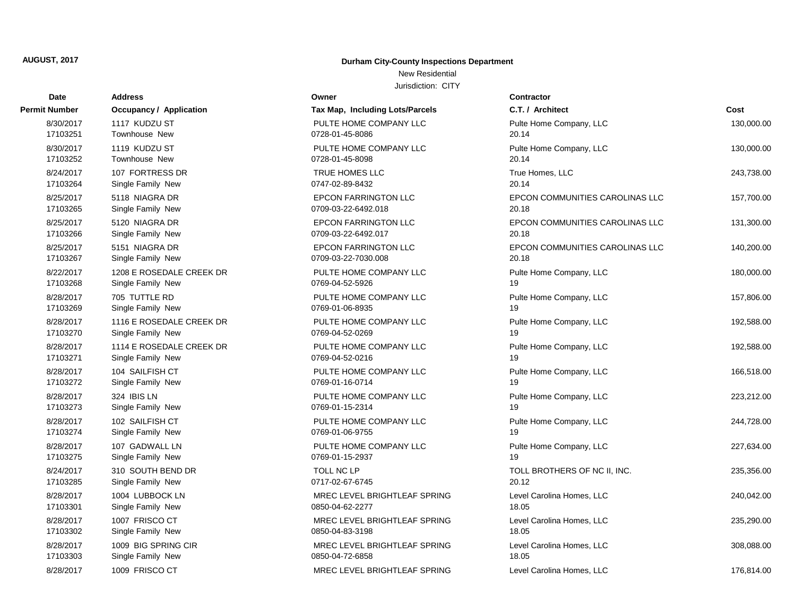# **Date Contractor Address Owner Permit Number Occupancy / Application Tax Map, Inc. / Costable 2018** 17103251 Townhouse New 2008 20145-0728-01-45-8086 20.145-8086 20.145-8086 20.145-17103252 Townhouse New 2007 28-01-45-8098 20145-0728-01-45-8098 20.145-8098 20.145-8098 20.145-8098 20.145-80 17103264 Single Family New 20747-02-89-17103265 Single Family New 0709-03-22-6492.018 20.18 17103266 Single Family New 2010 2010 2022-6492. 17103267 Single Family New 0709-03-22-8/22/2017 1208 E ROSEDALE CREEK DR PULTE HO 17103268 Single Family New 20769-04-52-59 17103269 Single Family New 0769-01-06-8/28/2017 1116 E ROSEDALE CREEK DR PULTE HO 17103270 Single Family New 0769-04-52-8/28/2017 1114 E ROSEDALE CREEK DR PULTE HO 17103271 Single Family New 0769-04-52-17103272 Single Family New 0769-01-16-17103273 Single Family New 0769-01-15-17103274 Single Family New 20769-01-06-17103275 Single Family New 20769-01-15-203275 17103285 Single Family New 20117-02-67-67-68-67-68-67-68-67-68-67-62-67-62. 17103301 Single Family New 20850-04-62-2 17103302 Single Family New 0850-04-83-17103303 Single Family New 17103303 Single Family New

### **AUGUST, 2017 Durham City-County Inspections Department**

# New Residential

| Dalt          |                                |                                 |                                 |            |
|---------------|--------------------------------|---------------------------------|---------------------------------|------------|
| <b>Number</b> | <b>Occupancy / Application</b> | Tax Map, Including Lots/Parcels | C.T. / Architect                | Cost       |
| 8/30/2017     | 1117 KUDZU ST                  | PULTE HOME COMPANY LLC          | Pulte Home Company, LLC         | 130,000.00 |
| 17103251      | Townhouse New                  | 0728-01-45-8086                 | 20.14                           |            |
| 8/30/2017     | 1119 KUDZU ST                  | PULTE HOME COMPANY LLC          | Pulte Home Company, LLC         | 130,000.00 |
| 17103252      | Townhouse New                  | 0728-01-45-8098                 | 20.14                           |            |
| 8/24/2017     | 107 FORTRESS DR                | TRUE HOMES LLC                  | True Homes, LLC                 | 243,738.00 |
| 17103264      | Single Family New              | 0747-02-89-8432                 | 20.14                           |            |
| 8/25/2017     | 5118 NIAGRA DR                 | <b>EPCON FARRINGTON LLC</b>     | EPCON COMMUNITIES CAROLINAS LLC | 157,700.00 |
| 17103265      | Single Family New              | 0709-03-22-6492.018             | 20.18                           |            |
| 8/25/2017     | 5120 NIAGRA DR                 | <b>EPCON FARRINGTON LLC</b>     | EPCON COMMUNITIES CAROLINAS LLC | 131,300.00 |
| 17103266      | Single Family New              | 0709-03-22-6492.017             | 20.18                           |            |
| 8/25/2017     | 5151 NIAGRA DR                 | <b>EPCON FARRINGTON LLC</b>     | EPCON COMMUNITIES CAROLINAS LLC | 140,200.00 |
| 17103267      | Single Family New              | 0709-03-22-7030.008             | 20.18                           |            |
| 8/22/2017     | 1208 E ROSEDALE CREEK DR       | PULTE HOME COMPANY LLC          | Pulte Home Company, LLC         | 180,000.00 |
| 17103268      | Single Family New              | 0769-04-52-5926                 | 19                              |            |
| 8/28/2017     | 705 TUTTLE RD                  | PULTE HOME COMPANY LLC          | Pulte Home Company, LLC         | 157,806.00 |
| 17103269      | Single Family New              | 0769-01-06-8935                 | 19                              |            |
| 8/28/2017     | 1116 E ROSEDALE CREEK DR       | PULTE HOME COMPANY LLC          | Pulte Home Company, LLC         | 192,588.00 |
| 17103270      | Single Family New              | 0769-04-52-0269                 | 19                              |            |
| 8/28/2017     | 1114 E ROSEDALE CREEK DR       | PULTE HOME COMPANY LLC          | Pulte Home Company, LLC         | 192,588.00 |
| 17103271      | Single Family New              | 0769-04-52-0216                 | 19                              |            |
| 8/28/2017     | 104 SAILFISH CT                | PULTE HOME COMPANY LLC          | Pulte Home Company, LLC         | 166,518.00 |
| 17103272      | Single Family New              | 0769-01-16-0714                 | 19                              |            |
| 8/28/2017     | 324 IBIS LN                    | PULTE HOME COMPANY LLC          | Pulte Home Company, LLC         | 223,212.00 |
| 17103273      | Single Family New              | 0769-01-15-2314                 | 19                              |            |
| 8/28/2017     | 102 SAILFISH CT                | PULTE HOME COMPANY LLC          | Pulte Home Company, LLC         | 244,728.00 |
| 17103274      | Single Family New              | 0769-01-06-9755                 | 19                              |            |
| 8/28/2017     | 107 GADWALL LN                 | PULTE HOME COMPANY LLC          | Pulte Home Company, LLC         | 227,634.00 |
| 17103275      | Single Family New              | 0769-01-15-2937                 | 19                              |            |
| 8/24/2017     | 310 SOUTH BEND DR              | TOLL NC LP                      | TOLL BROTHERS OF NC II, INC.    | 235,356.00 |
| 17103285      | Single Family New              | 0717-02-67-6745                 | 20.12                           |            |
| 8/28/2017     | 1004 LUBBOCK LN                | MREC LEVEL BRIGHTLEAF SPRING    | Level Carolina Homes, LLC       | 240,042.00 |
| 17103301      | Single Family New              | 0850-04-62-2277                 | 18.05                           |            |
| 8/28/2017     | 1007 FRISCO CT                 | MREC LEVEL BRIGHTLEAF SPRING    | Level Carolina Homes, LLC       | 235,290.00 |
| 17103302      | Single Family New              | 0850-04-83-3198                 | 18.05                           |            |
| 8/28/2017     | 1009 BIG SPRING CIR            | MREC LEVEL BRIGHTLEAF SPRING    | Level Carolina Homes, LLC       | 308,088.00 |
| 17103303      | Single Family New              | 0850-04-72-6858                 | 18.05                           |            |
| 8/28/2017     | 1009 FRISCO CT                 | MREC LEVEL BRIGHTLEAF SPRING    | Level Carolina Homes, LLC       | 176,814.00 |